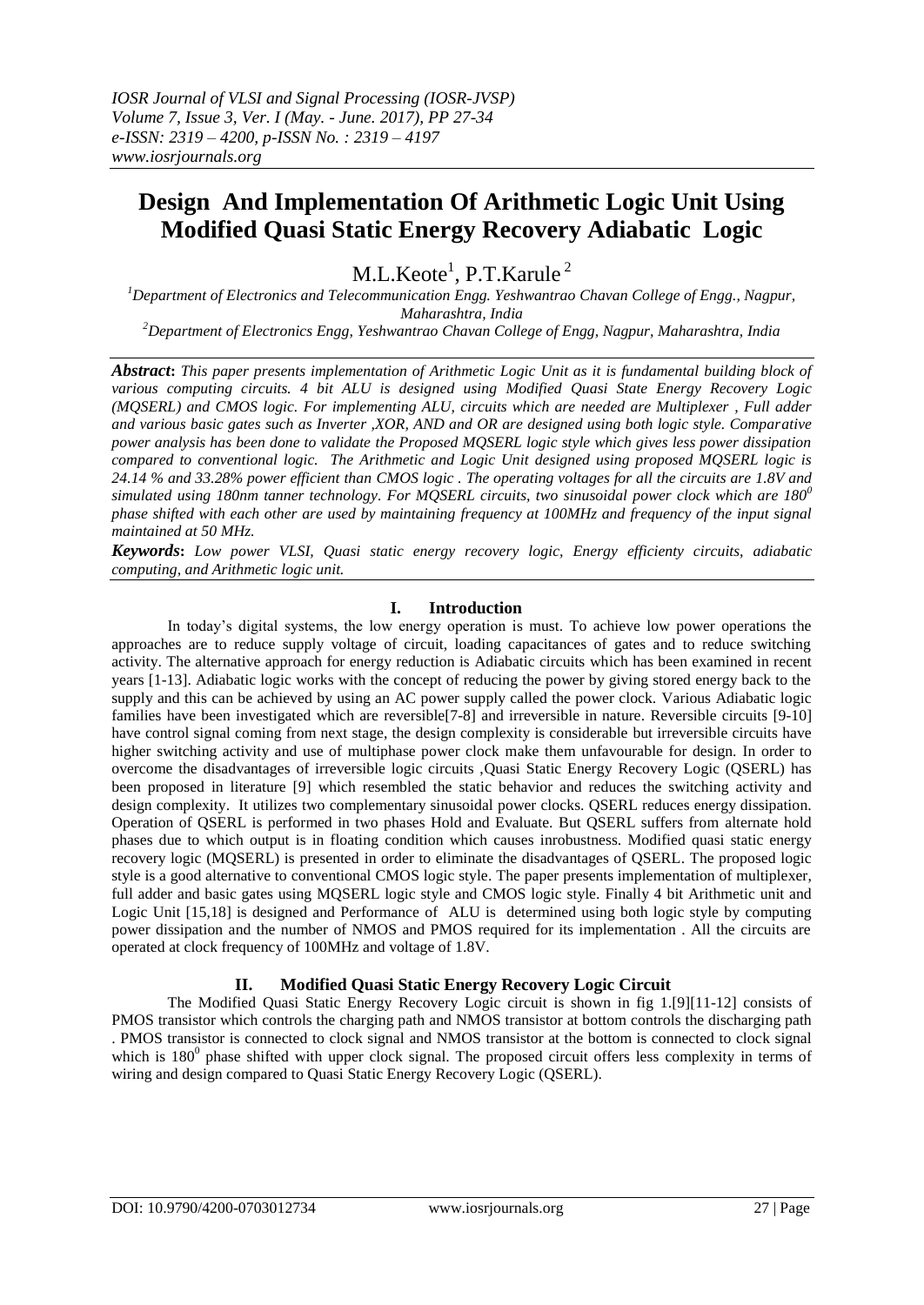# **Design And Implementation Of Arithmetic Logic Unit Using Modified Quasi Static Energy Recovery Adiabatic Logic**

 $M.L.Keote<sup>1</sup>, P.T.Karule<sup>2</sup>$ 

*<sup>1</sup>Department of Electronics and Telecommunication Engg. Yeshwantrao Chavan College of Engg., Nagpur, Maharashtra, India*

*<sup>2</sup>Department of Electronics Engg, Yeshwantrao Chavan College of Engg, Nagpur, Maharashtra, India*

*Abstract***:** *This paper presents implementation of Arithmetic Logic Unit as it is fundamental building block of various computing circuits. 4 bit ALU is designed using Modified Quasi State Energy Recovery Logic (MQSERL) and CMOS logic. For implementing ALU, circuits which are needed are Multiplexer , Full adder and various basic gates such as Inverter ,XOR, AND and OR are designed using both logic style. Comparative power analysis has been done to validate the Proposed MQSERL logic style which gives less power dissipation compared to conventional logic. The Arithmetic and Logic Unit designed using proposed MQSERL logic is 24.14 % and 33.28% power efficient than CMOS logic . The operating voltages for all the circuits are 1.8V and simulated using 180nm tanner technology. For MQSERL circuits, two sinusoidal power clock which are 180<sup>0</sup> phase shifted with each other are used by maintaining frequency at 100MHz and frequency of the input signal maintained at 50 MHz.* 

*Keywords***:** *Low power VLSI, Quasi static energy recovery logic, Energy efficienty circuits, adiabatic computing, and Arithmetic logic unit.*

## **I. Introduction**

In today's digital systems, the low energy operation is must. To achieve low power operations the approaches are to reduce supply voltage of circuit, loading capacitances of gates and to reduce switching activity. The alternative approach for energy reduction is Adiabatic circuits which has been examined in recent years [1-13]. Adiabatic logic works with the concept of reducing the power by giving stored energy back to the supply and this can be achieved by using an AC power supply called the power clock. Various Adiabatic logic families have been investigated which are reversible[7-8] and irreversible in nature. Reversible circuits [9-10] have control signal coming from next stage, the design complexity is considerable but irreversible circuits have higher switching activity and use of multiphase power clock make them unfavourable for design. In order to overcome the disadvantages of irreversible logic circuits ,Quasi Static Energy Recovery Logic (QSERL) has been proposed in literature [9] which resembled the static behavior and reduces the switching activity and design complexity. It utilizes two complementary sinusoidal power clocks. QSERL reduces energy dissipation. Operation of QSERL is performed in two phases Hold and Evaluate. But QSERL suffers from alternate hold phases due to which output is in floating condition which causes inrobustness. Modified quasi static energy recovery logic (MQSERL) is presented in order to eliminate the disadvantages of QSERL. The proposed logic style is a good alternative to conventional CMOS logic style. The paper presents implementation of multiplexer, full adder and basic gates using MQSERL logic style and CMOS logic style. Finally 4 bit Arithmetic unit and Logic Unit [15,18] is designed and Performance of ALU is determined using both logic style by computing power dissipation and the number of NMOS and PMOS required for its implementation . All the circuits are operated at clock frequency of 100MHz and voltage of 1.8V.

## **II. Modified Quasi Static Energy Recovery Logic Circuit**

The Modified Quasi Static Energy Recovery Logic circuit is shown in fig 1.[9][11-12] consists of PMOS transistor which controls the charging path and NMOS transistor at bottom controls the discharging path . PMOS transistor is connected to clock signal and NMOS transistor at the bottom is connected to clock signal which is  $180^0$  phase shifted with upper clock signal. The proposed circuit offers less complexity in terms of wiring and design compared to Quasi Static Energy Recovery Logic (QSERL).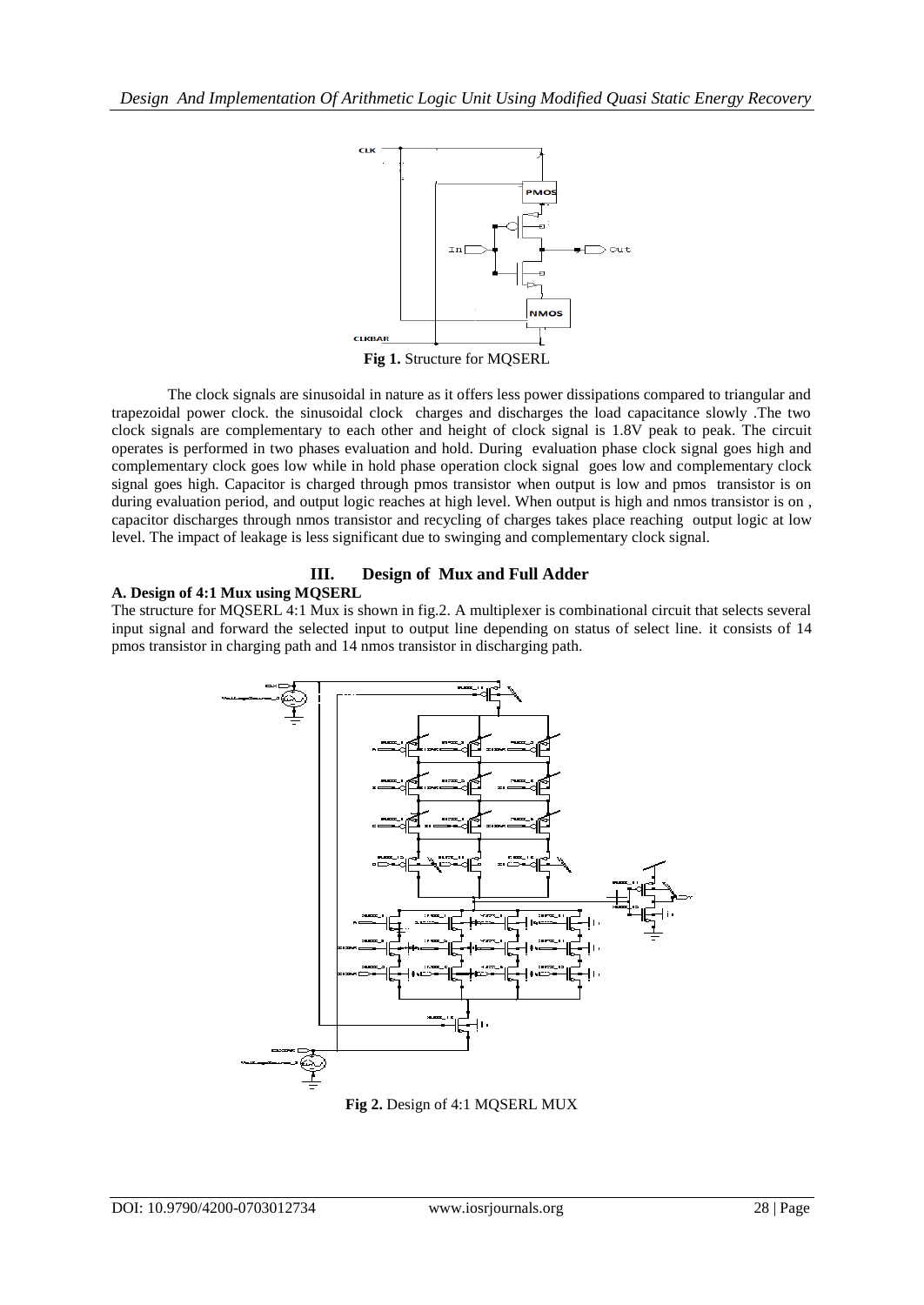

The clock signals are sinusoidal in nature as it offers less power dissipations compared to triangular and trapezoidal power clock. the sinusoidal clock charges and discharges the load capacitance slowly .The two clock signals are complementary to each other and height of clock signal is 1.8V peak to peak. The circuit operates is performed in two phases evaluation and hold. During evaluation phase clock signal goes high and complementary clock goes low while in hold phase operation clock signal goes low and complementary clock signal goes high. Capacitor is charged through pmos transistor when output is low and pmos transistor is on during evaluation period, and output logic reaches at high level. When output is high and nmos transistor is on , capacitor discharges through nmos transistor and recycling of charges takes place reaching output logic at low level. The impact of leakage is less significant due to swinging and complementary clock signal.

## **III. Design of Mux and Full Adder**

**A. Design of 4:1 Mux using MQSERL**

The structure for MQSERL 4:1 Mux is shown in fig.2. A multiplexer is combinational circuit that selects several input signal and forward the selected input to output line depending on status of select line. it consists of 14 pmos transistor in charging path and 14 nmos transistor in discharging path.



**Fig 2.** Design of 4:1 MQSERL MUX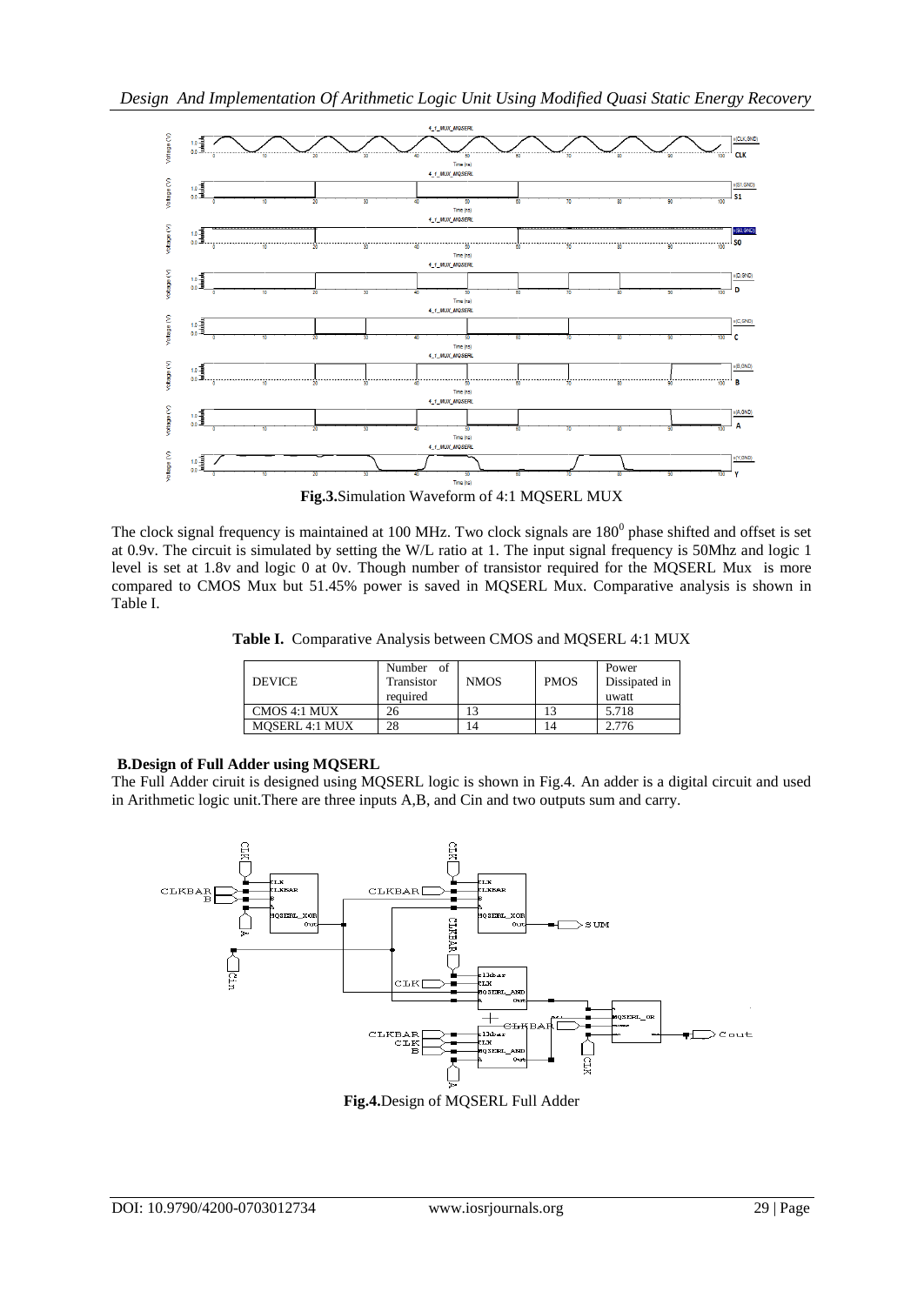

**Fig.3.**Simulation Waveform of 4:1 MQSERL MUX

The clock signal frequency is maintained at 100 MHz. Two clock signals are  $180^0$  phase shifted and offset is set at 0.9v. The circuit is simulated by setting the W/L ratio at 1. The input signal frequency is 50Mhz and logic 1 level is set at 1.8v and logic 0 at 0v. Though number of transistor required for the MQSERL Mux is more compared to CMOS Mux but 51.45% power is saved in MQSERL Mux. Comparative analysis is shown in Table I.

**Table I.** Comparative Analysis between CMOS and MQSERL 4:1 MUX

| <b>DEVICE</b>         | of<br>Number<br>Transistor<br>required | <b>NMOS</b> | <b>PMOS</b> | Power<br>Dissipated in<br>uwatt |
|-----------------------|----------------------------------------|-------------|-------------|---------------------------------|
| CMOS 4:1 MUX          | 26                                     |             |             | 5.718                           |
| <b>MOSERL 4:1 MUX</b> | 28                                     |             | 14          | 2.776                           |

## **B.Design of Full Adder using MQSERL**

The Full Adder ciruit is designed using MQSERL logic is shown in Fig.4. An adder is a digital circuit and used in Arithmetic logic unit.There are three inputs A,B, and Cin and two outputs sum and carry.



**Fig.4.**Design of MQSERL Full Adder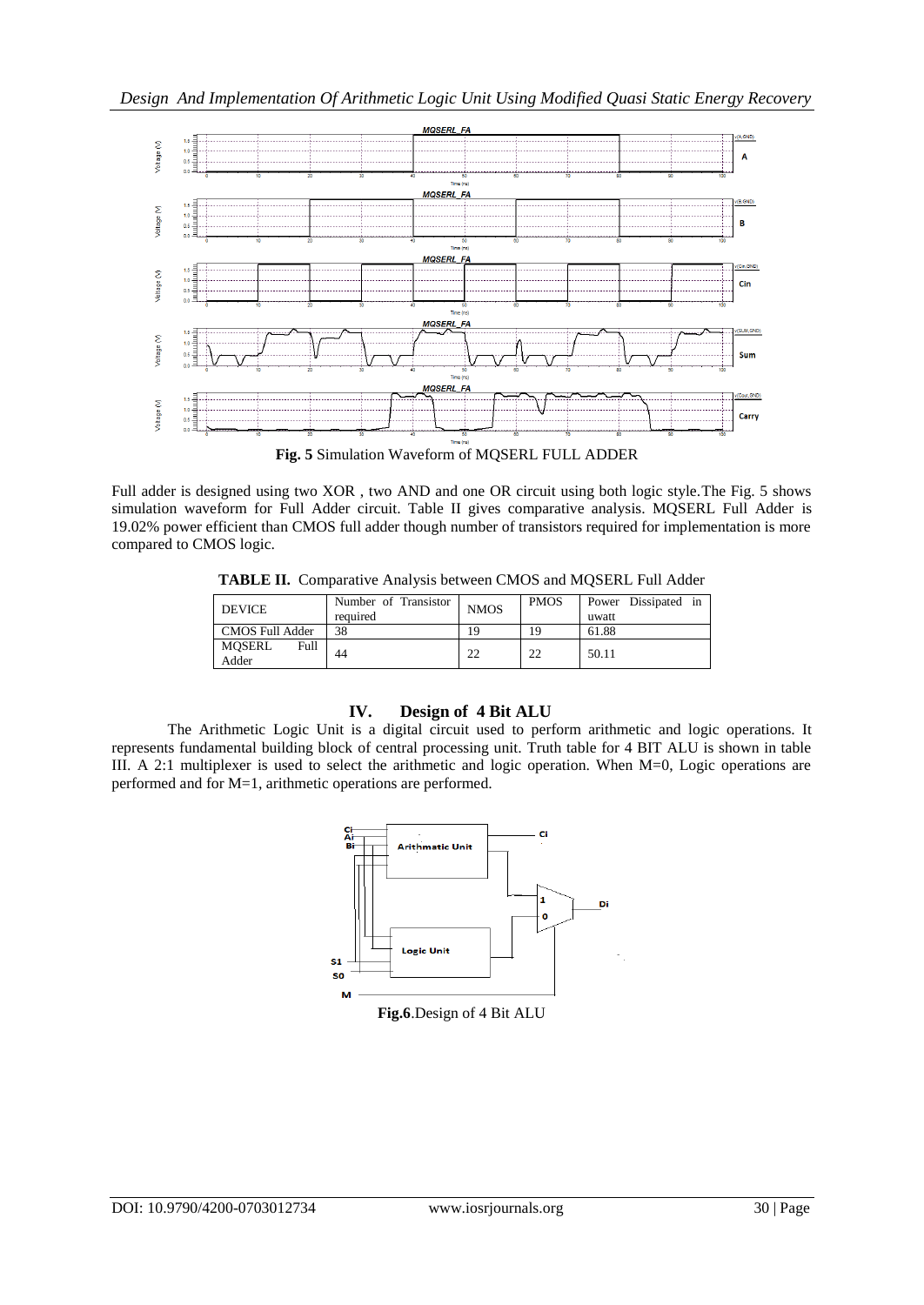

Full adder is designed using two XOR , two AND and one OR circuit using both logic style.The Fig. 5 shows simulation waveform for Full Adder circuit. Table II gives comparative analysis. MQSERL Full Adder is 19.02% power efficient than CMOS full adder though number of transistors required for implementation is more compared to CMOS logic.

**TABLE II.** Comparative Analysis between CMOS and MQSERL Full Adder

| <b>DEVICE</b>           | Number of Transistor<br>required | <b>NMOS</b> | <b>PMOS</b> | Power Dissipated in<br>uwatt |
|-------------------------|----------------------------------|-------------|-------------|------------------------------|
| <b>CMOS Full Adder</b>  | 38                               | 19          | 19          | 61.88                        |
| MQSERL<br>Full<br>Adder | 44                               | 22          | 22          | 50.11                        |

## **IV. Design of 4 Bit ALU**

The Arithmetic Logic Unit is a digital circuit used to perform arithmetic and logic operations. It represents fundamental building block of central processing unit. Truth table for 4 BIT ALU is shown in table III. A 2:1 multiplexer is used to select the arithmetic and logic operation. When M=0, Logic operations are performed and for M=1, arithmetic operations are performed.

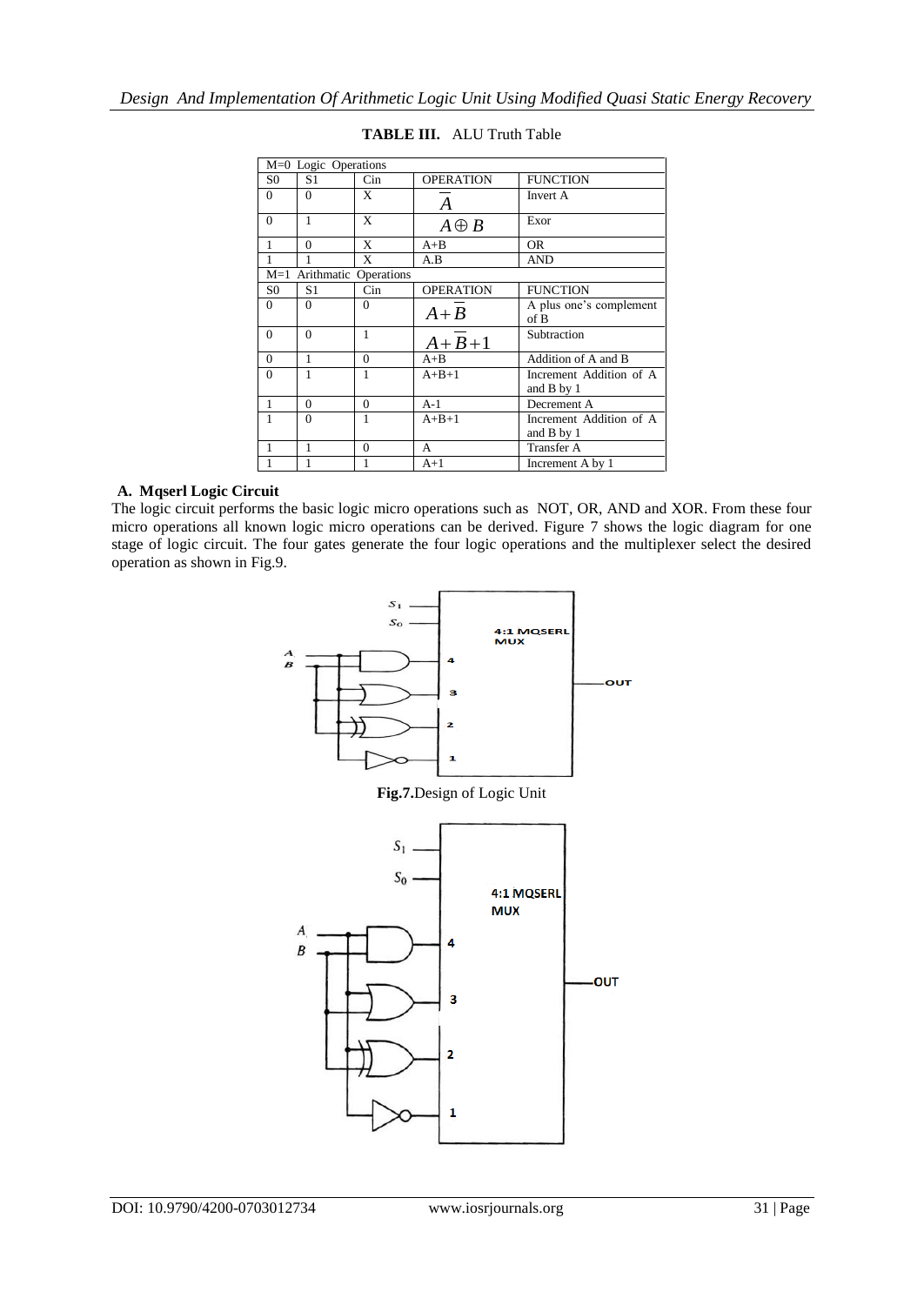| M=0 Logic Operations |                       |          |                  |                                       |
|----------------------|-----------------------|----------|------------------|---------------------------------------|
| S <sub>0</sub>       | S <sub>1</sub>        | Cin      | <b>OPERATION</b> | <b>FUNCTION</b>                       |
| $\theta$             | $\Omega$              | X        | A                | Invert A                              |
| $\Omega$             | 1                     | X        | $A \oplus B$     | Exor                                  |
| 1                    | $\Omega$              | X        | $A + B$          | OR.                                   |
| 1                    |                       | X        | A.B              | <b>AND</b>                            |
| $M=1$                | Arithmatic Operations |          |                  |                                       |
| S <sub>0</sub>       | S1                    | Cin      | <b>OPERATION</b> | <b>FUNCTION</b>                       |
| $\Omega$             | $\Omega$              | $\Omega$ | $A + B$          | A plus one's complement<br>of B       |
| $\Omega$             | $\Omega$              | 1        | $A+B+1$          | Subtraction                           |
| $\Omega$             | 1                     | $\Omega$ | $A + B$          | Addition of A and B                   |
| $\Omega$             |                       | 1        | $A+B+1$          | Increment Addition of A<br>and B by 1 |
| 1                    | $\Omega$              | $\Omega$ | $A-1$            | Decrement A                           |
| 1                    | $\theta$              | 1        | $A+B+1$          | Increment Addition of A               |
|                      |                       |          |                  | and B by 1                            |
| 1                    | 1                     | $\Omega$ | A                | Transfer A                            |
| 1                    | 1                     | 1        | $A+1$            | Increment A by 1                      |

### **TABLE III.** ALU Truth Table

#### **A. Mqserl Logic Circuit**

The logic circuit performs the basic logic micro operations such as NOT, OR, AND and XOR. From these four micro operations all known logic micro operations can be derived. Figure 7 shows the logic diagram for one stage of logic circuit. The four gates generate the four logic operations and the multiplexer select the desired operation as shown in Fig.9.



**Fig.7.**Design of Logic Unit

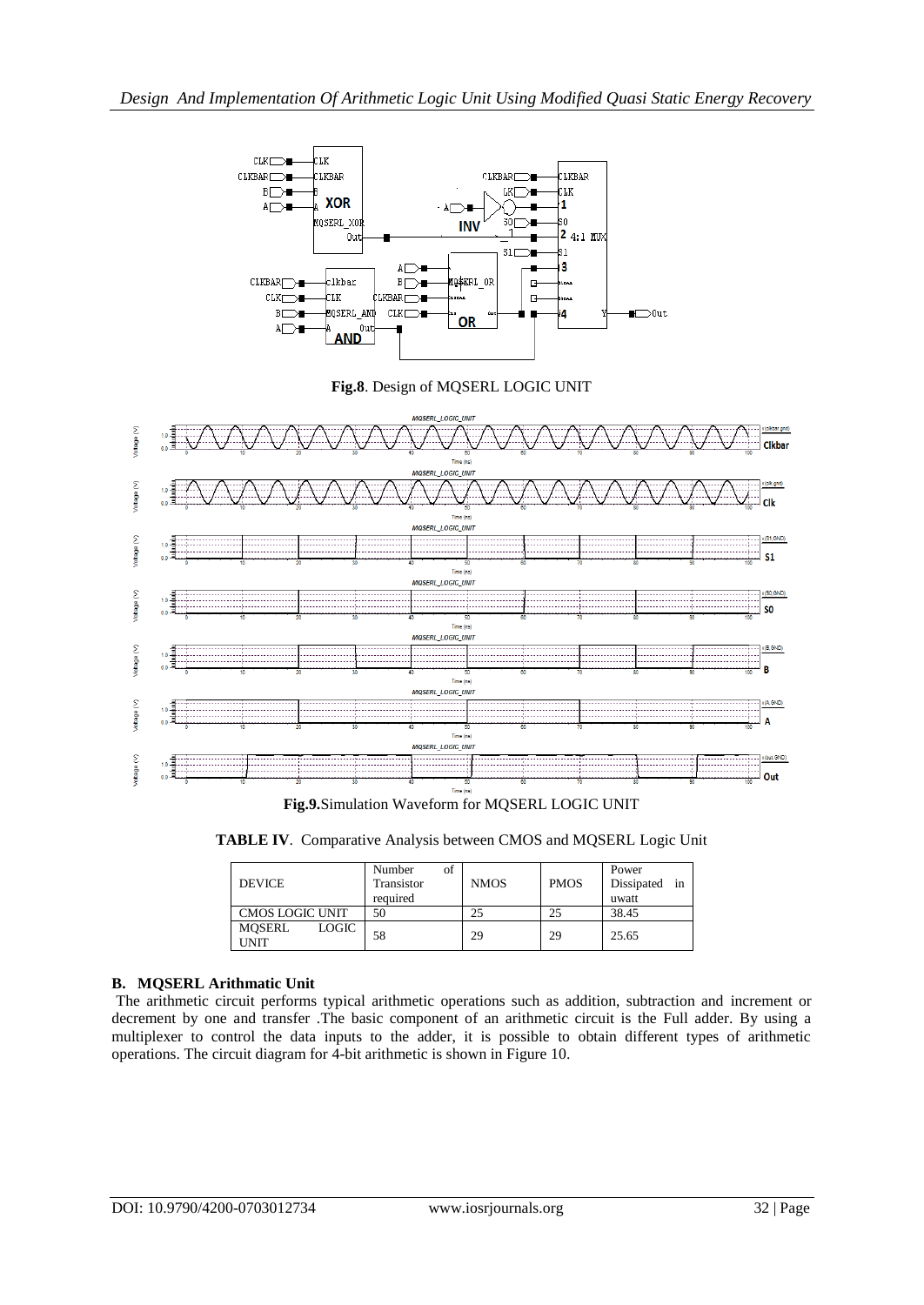

**Fig.8**. Design of MQSERL LOGIC UNIT



**TABLE IV**. Comparative Analysis between CMOS and MQSERL Logic Unit

| <b>DEVICE</b>                  | of<br>Number<br>Transistor<br>required | <b>NMOS</b> | <b>PMOS</b> | Power<br>Dissipated<br>in<br>uwatt |
|--------------------------------|----------------------------------------|-------------|-------------|------------------------------------|
| <b>CMOS LOGIC UNIT</b>         | 50                                     | 25          | 25          | 38.45                              |
| MOSERL<br>LOGIC<br><b>UNIT</b> | 58                                     | 29          | 29          | 25.65                              |

### **B. MQSERL Arithmatic Unit**

The arithmetic circuit performs typical arithmetic operations such as addition, subtraction and increment or decrement by one and transfer .The basic component of an arithmetic circuit is the Full adder. By using a multiplexer to control the data inputs to the adder, it is possible to obtain different types of arithmetic operations. The circuit diagram for 4-bit arithmetic is shown in Figure 10.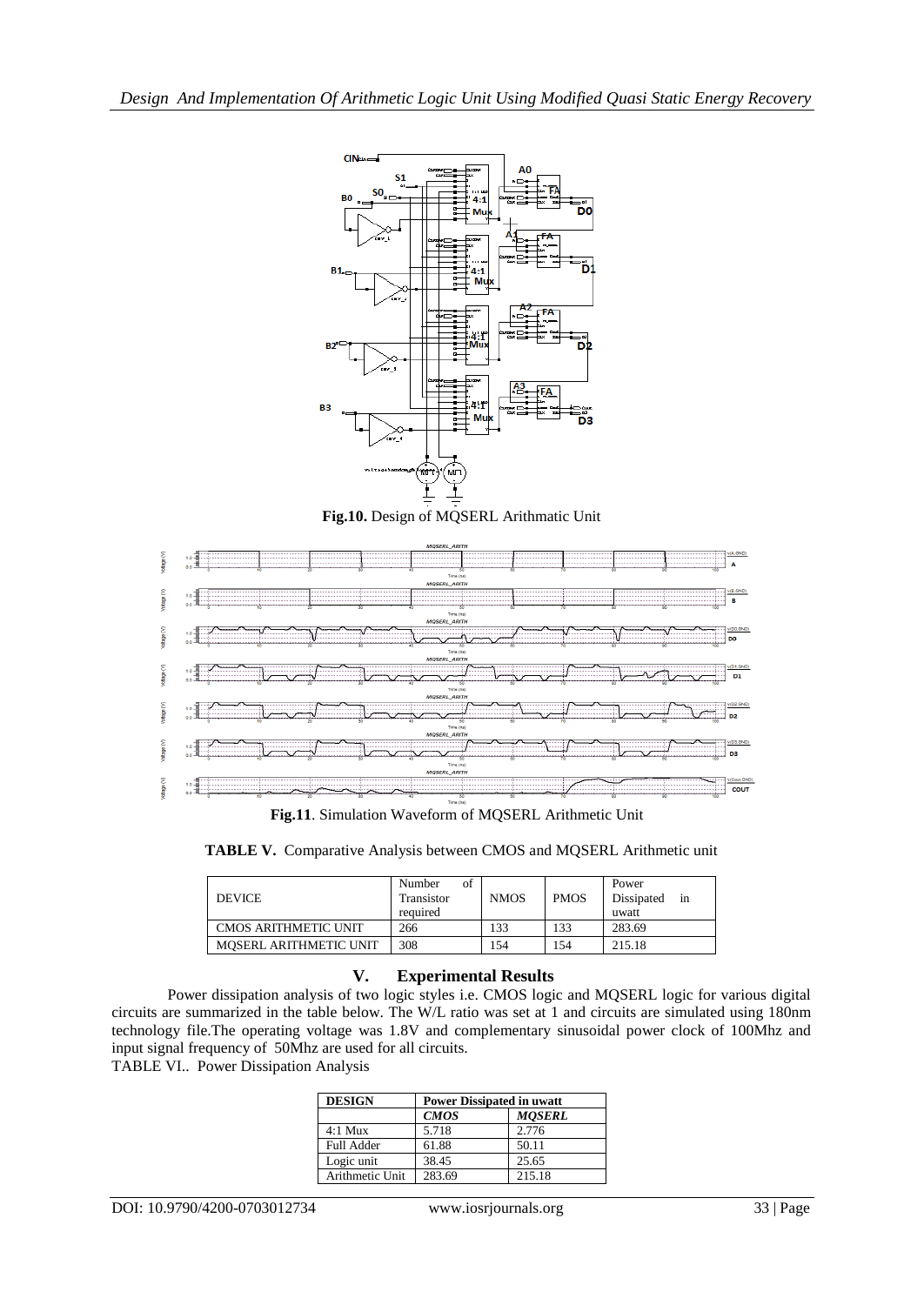

**Fig.10.** Design of MQSERL Arithmatic Unit



**Fig.11**. Simulation Waveform of MQSERL Arithmetic Unit

**TABLE V.** Comparative Analysis between CMOS and MQSERL Arithmetic unit

| <b>DEVICE</b>               | of<br>Number<br>Transistor<br>required | <b>NMOS</b> | <b>PMOS</b> | Power<br>Dissipated<br>1n<br>uwatt |
|-----------------------------|----------------------------------------|-------------|-------------|------------------------------------|
| <b>CMOS ARITHMETIC UNIT</b> | 266                                    | 133         | 133         | 283.69                             |
| MOSERL ARITHMETIC UNIT      | 308                                    | 154         | 154         | 215.18                             |

## **V. Experimental Results**

Power dissipation analysis of two logic styles i.e. CMOS logic and MQSERL logic for various digital circuits are summarized in the table below. The W/L ratio was set at 1 and circuits are simulated using 180nm technology file.The operating voltage was 1.8V and complementary sinusoidal power clock of 100Mhz and input signal frequency of 50Mhz are used for all circuits.

TABLE VI.. Power Dissipation Analysis

| <b>DESIGN</b>     | <b>Power Dissipated in uwatt</b> |               |  |
|-------------------|----------------------------------|---------------|--|
|                   | <b>CMOS</b>                      | <b>MOSERL</b> |  |
| $4:1$ Mux         | 5.718                            | 2.776         |  |
| <b>Full Adder</b> | 61.88                            | 50.11         |  |
| Logic unit        | 38.45                            | 25.65         |  |
| Arithmetic Unit   | 283.69                           | 215.18        |  |